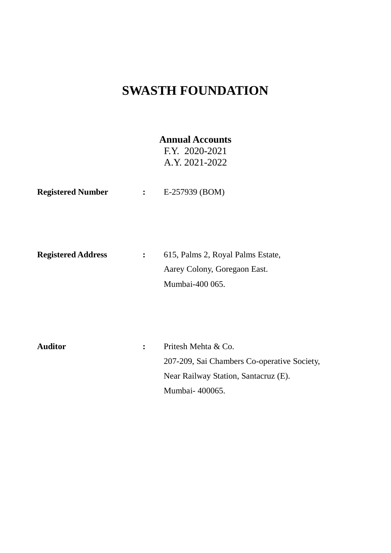## **SWASTH FOUNDATION**

### **Annual Accounts**

F.Y. 2020-2021 A.Y. 2021-2022

**Registered Number :** E-257939 (BOM)

| <b>Registered Address</b> | 615, Palms 2, Royal Palms Estate, |  |  |  |
|---------------------------|-----------------------------------|--|--|--|
|                           | Aarey Colony, Goregaon East.      |  |  |  |
|                           | Mumbai-400 065.                   |  |  |  |

| <b>Auditor</b> | Pritesh Mehta & Co.                         |
|----------------|---------------------------------------------|
|                | 207-209, Sai Chambers Co-operative Society, |
|                | Near Railway Station, Santacruz (E).        |
|                | Mumbai-400065.                              |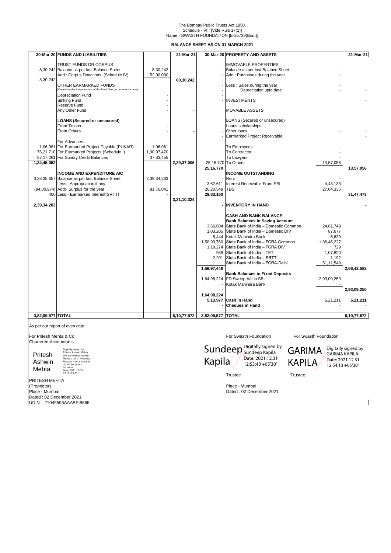# The Bombay Public Trusts Act,1950. Schedule - VIII [Vide Rule 17(1)] Name - SWASTH FOUNDATION [E-25739(Bom)]

**BALANCE SHEET AS ON 31 MARCH 2021** 

|                                | 30-Mar-20 FUNDS AND LIABILITIES                                                    |             | 31-Mar-21   |             | 30-Mar-20 PROPERTY AND ASSETS                                                            |                       | 31-Mar-21           |
|--------------------------------|------------------------------------------------------------------------------------|-------------|-------------|-------------|------------------------------------------------------------------------------------------|-----------------------|---------------------|
|                                | TRUST FUNDS OR CORPUS                                                              |             |             |             | <b>IMMOVABLE PROPERTIES</b>                                                              |                       |                     |
|                                | 8,30,242 Balance as per last Balance Sheet                                         | 8,30,242    |             |             | Balance as per last Balance Sheet                                                        |                       |                     |
|                                | Add: Corpus Donations (Schedule IV)                                                | 52,00,000   |             |             | Add: Purchases during the year                                                           |                       |                     |
| 8,30,242                       |                                                                                    |             | 60,30,242   |             |                                                                                          |                       |                     |
|                                | OTHER EARMARKED FUNDS                                                              |             |             |             | Less: Sales during the year                                                              |                       |                     |
|                                | Created under the provisions of the Trust Deed, scheme or income)                  |             |             |             | Depreciation upto date                                                                   |                       |                     |
|                                | Depreciation Fund<br>Sinking Fund                                                  |             |             |             | <b>INVESTMENTS</b>                                                                       |                       |                     |
|                                | Reserve Fund                                                                       |             |             |             |                                                                                          |                       |                     |
|                                | Any Other Fund                                                                     |             |             |             | <b>MOVABLE ASSETS</b>                                                                    |                       |                     |
|                                |                                                                                    |             |             |             |                                                                                          |                       |                     |
|                                | <b>LOANS (Secured or unsecured)</b>                                                |             |             |             | LOANS (Secured or unsecured)                                                             |                       |                     |
|                                | From Trustee                                                                       |             |             |             | Loans scholarships                                                                       |                       |                     |
|                                | From Others                                                                        |             |             |             | Other loans<br>Earmarked Project Receivable                                              |                       |                     |
|                                | For Advances                                                                       |             |             |             |                                                                                          |                       |                     |
|                                | 1,06,081 For Earmarked Project Payable (PUKAR)                                     | 1,06,081    |             |             | To Employees                                                                             |                       |                     |
|                                | 76,21,710 For Earmarked Projects (Schedule I)                                      | 1,90,97,470 |             |             | To Contractor                                                                            |                       |                     |
|                                | 57,17,261 For Sundry Credit Balances                                               | 37, 33, 455 |             |             | To Lawyers                                                                               |                       |                     |
| 1,34,45,052                    |                                                                                    |             | 2,29,37,006 |             | 25,16,770 To Others                                                                      | 13,57,056             |                     |
|                                |                                                                                    |             |             | 25,16,770   |                                                                                          |                       | 13,57,056           |
|                                | <b>INCOME AND EXPENDITURE A/C</b><br>3,33,35,657 Balance as per last Balance Sheet | 2,39,34,283 |             |             | <b>INCOME OUTSTANDING</b><br>Rent                                                        |                       |                     |
|                                | Less: Appropriation, if any                                                        |             |             | 3,62,611    | Interest Receivable From SBI                                                             | 4,43,138              |                     |
|                                | (94,00,974) Add:- Surplus for the year                                             | 81,76,041   |             | 26,20,549   | <b>TDS</b>                                                                               | 27,04,335             |                     |
|                                | 400 Less:- Earmarked Interest(SRTT)                                                |             |             | 29,83,160   |                                                                                          |                       | 31,47,473           |
|                                |                                                                                    |             | 3,21,10,324 |             |                                                                                          |                       |                     |
| 2,39,34,283                    |                                                                                    |             |             |             | <b>INVENTORY IN HAND</b>                                                                 |                       |                     |
|                                |                                                                                    |             |             |             |                                                                                          |                       |                     |
|                                |                                                                                    |             |             |             | <b>CASH AND BANK BALANCE</b>                                                             |                       |                     |
|                                |                                                                                    |             |             |             | <b>Bank Balances in Saving Account</b><br>3,66,604 State Bank of India - Domestic Common | 24,81,749             |                     |
|                                |                                                                                    |             |             | 1,03,205    | State Bank of India - Domestic DIV                                                       | 87,677                |                     |
|                                |                                                                                    |             |             | 5,444       | Kotak Mahindra Bank                                                                      | 5,639                 |                     |
|                                |                                                                                    |             |             | 1,50,99,760 | State Bank of India - FCRA Common                                                        | 1,88,46,227           |                     |
|                                |                                                                                    |             |             | 1,19,274    | State Bank of India - FCRA DIV                                                           | 729                   |                     |
|                                |                                                                                    |             |             | 958         | State Bank of India - TET                                                                | 1,07,820              |                     |
|                                |                                                                                    |             |             | 2,201       | State Bank of India - SRTT                                                               | 1,192                 |                     |
|                                |                                                                                    |             |             | 1,56,97,446 | State Bank of India – FCRA-Delhi                                                         | 51,11,549             | 2,66,42,582         |
|                                |                                                                                    |             |             |             | <b>Bank Balances in Fixed Deposits</b>                                                   |                       |                     |
|                                |                                                                                    |             |             | 1,64,98,224 | FD Sweep A/c in SBI                                                                      | 2,93,09,250           |                     |
|                                |                                                                                    |             |             |             | Kotak Mahindra Bank                                                                      |                       |                     |
|                                |                                                                                    |             |             |             |                                                                                          |                       | 2,93,09,250         |
|                                |                                                                                    |             |             | 1,64,98,224 |                                                                                          |                       |                     |
|                                |                                                                                    |             |             | 5,13,977    | <b>Cash in Hand</b><br><b>Cheques in Hand</b>                                            | 6,21,211              | 6,21,211            |
|                                |                                                                                    |             |             |             |                                                                                          |                       |                     |
| 3,82,09,577 TOTAL              |                                                                                    |             | 6,10,77,572 | 3,82,09,577 | <b>TOTAL</b>                                                                             |                       | 6,10,77,572         |
| As per our report of even date |                                                                                    |             |             |             |                                                                                          |                       |                     |
|                                |                                                                                    |             |             |             |                                                                                          |                       |                     |
| For Pritesh Mehta & Co         |                                                                                    |             |             |             | For Swasth Foundation                                                                    | For Swasth Foundation |                     |
| <b>Chartered Accountants</b>   |                                                                                    |             |             |             | Digitally signed by                                                                      |                       |                     |
|                                | Digitally signed by<br>Pritesh Ashwin Mehta                                        |             |             |             | Sundeep Digitally Signew<br><b>GARIMA</b>                                                |                       | Digitally signed by |
| Pritesh                        | DN: cn=Pritesh Ashwin<br>Mehta c=IN o=Personal                                     |             |             |             | Date: 2021.12.31                                                                         | <b>GARIMA KAPILA</b>  |                     |
| Ashwin                         | Reason: I am the author<br>of this document                                        |             |             | Kapila      | <b>KAPILA</b><br>12:53:48 +05'30'                                                        |                       | Date: 2021.12.31    |
| Mehta                          | Location<br>Date: 2021-12-31                                                       |             |             |             |                                                                                          | 12:54:13 +05'30'      |                     |
|                                | 13:17+05:30                                                                        |             |             |             | Trustee<br><b>Trustee</b>                                                                |                       |                     |
| PRITESH MEHTA                  |                                                                                    |             |             |             |                                                                                          |                       |                     |
| (Proprietor)                   |                                                                                    |             |             |             | Place - Mumbai                                                                           |                       |                     |
| Place - Mumbai                 |                                                                                    |             |             |             | Dated: 02 December 2021                                                                  |                       |                     |
| Dated: 02 December 2021        |                                                                                    |             |             |             |                                                                                          |                       |                     |

UDIN : 21049593AAABPI8665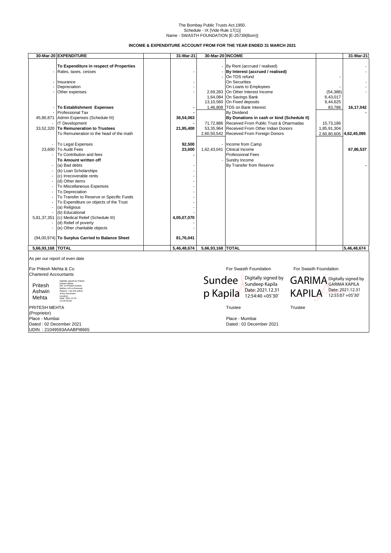#### Name - SWASTH FOUNDATION [E-25739(Bom)] The Bombay Public Trusts Act,1950. Schedule - IX [Vide Rule 17(1)]

**INCOME & EXPENDITURE ACCOUNT FROM FOR THE YEAR ENDED 31 MARCH 2021** 

|                        | 30-Mar-20 EXPENDITURE                           | 31-Mar-21   | 30-Mar-20 INCOME |                                                  |                         | 31-Mar-21   |
|------------------------|-------------------------------------------------|-------------|------------------|--------------------------------------------------|-------------------------|-------------|
|                        |                                                 |             |                  |                                                  |                         |             |
|                        | To Expenditure in respect of Properties         |             |                  | By Rent (accrued / realised)                     |                         |             |
|                        | Rates, taxes, cesses                            |             |                  | By Interest (accrued / realised)                 |                         |             |
|                        |                                                 |             |                  | On TDS refund                                    |                         |             |
|                        | Insurance                                       |             |                  | On Securities                                    |                         |             |
|                        | Depreciation                                    |             |                  | On Loans to Employees                            |                         |             |
|                        | Other expenses                                  |             |                  | 2,69,283 On Other Interest Income                | (54, 386)               |             |
|                        |                                                 |             |                  | 1,64,084 On Savings Bank                         | 6,43,017                |             |
|                        |                                                 |             |                  | 13,10,560 On Fixed deposits                      | 9,44,625                |             |
|                        | To Establishment Expenses                       |             |                  | 1,46,808   TDS on Bank Interest                  | 83,786                  | 16,17,042   |
|                        | <b>Professional Tax</b>                         |             |                  | <b>By Dividend</b>                               |                         |             |
| 45,80,871              | Admin Expenses (Schedule III)                   | 36,54,063   |                  | By Donations in cash or kind (Schedule II)       |                         |             |
|                        | <b>IT Development</b>                           |             |                  | 71,72,886 Received From Public Trust & Dharmadas | 15,73,186               |             |
| 33,52,320              | To Remuneration to Trustees                     | 21,95,400   |                  | 53.35.964 Received From Other Indian Donors      | 1,85,91,304             |             |
|                        | To Remuneration to the head of the math         |             |                  | 2,60,50,542 Received From Foreign Donors         | 2,60,80,605 4,62,45,095 |             |
|                        |                                                 |             |                  |                                                  |                         |             |
|                        | To Legal Expenses                               | 92,500      |                  | - Income from Camp                               |                         |             |
|                        | 23.600 To Audit Fees                            | 23,600      |                  | 1,62,43,041 Clinical Income                      |                         | 67,86,537   |
|                        | To Contribution and fees                        |             |                  | <b>Professional Fees</b>                         |                         |             |
|                        | To Amount written off                           |             |                  | Sundry Income                                    |                         |             |
|                        | (a) Bad debts                                   |             |                  | By Transfer from Reserve                         |                         |             |
|                        | (b) Loan Scholarships                           |             |                  |                                                  |                         |             |
|                        | (c) Irrecoverable rents                         |             |                  |                                                  |                         |             |
|                        | (d) Other items                                 |             |                  |                                                  |                         |             |
|                        | To Miscellaneous Expenses                       |             |                  |                                                  |                         |             |
|                        | To Depreciation                                 |             |                  |                                                  |                         |             |
|                        | To Transfer to Reserve or Specific Funds        |             |                  |                                                  |                         |             |
|                        | To Expenditure on objects of the Trust          |             |                  |                                                  |                         |             |
|                        | (a) Religious                                   |             |                  |                                                  |                         |             |
|                        | (b) Educational                                 |             |                  |                                                  |                         |             |
| 5,81,37,351            | (c) Medical Relief (Schedule III)               | 4,05,07,070 |                  |                                                  |                         |             |
|                        | (d) Relief of poverty                           |             |                  |                                                  |                         |             |
|                        | (e) Other charitable objects                    |             |                  |                                                  |                         |             |
|                        |                                                 |             |                  |                                                  |                         |             |
|                        | (94,00,974) To Surplus Carried to Balance Sheet | 81,76,041   |                  |                                                  |                         |             |
|                        |                                                 |             |                  |                                                  |                         |             |
| 5,66,93,168 TOTAL      |                                                 | 5,46,48,674 | 5,66,93,168      | <b>TOTAL</b>                                     |                         | 5,46,48,674 |
|                        |                                                 |             |                  |                                                  |                         |             |
|                        | As per our report of even date                  |             |                  |                                                  |                         |             |
| For Pritesh Mehta & Co |                                                 |             |                  | For Swasth Foundation                            | For Swasth Foundation   |             |
| Chartered Accountants  |                                                 |             |                  |                                                  |                         |             |

red Ac

Pritesh Ashwin Mehta Digitally signed by Pritesh<br>Ashwin Mehta<br>DN: cn=Pritesh Ashwin<br>Mehta c=IN o=Personal<br>Reason: I am the author<br>of this document<br>Location:<br>Date: 2021-12-31<br>13:18+05:30

PRITESH MEHTA Trustee Trustee Trustee Trustee Trustee Trustee Trustee Trustee Trustee (Proprietor) Dated : 02 December 2021 Dated : 02 December 2021 UDIN : 21049593AAABPI8665





Digitally signed by GARIMA KAPILA Date: 2021.12.31 12:55:07 +05'30'

Place - Mumbai<br>Dated : 02 December 2021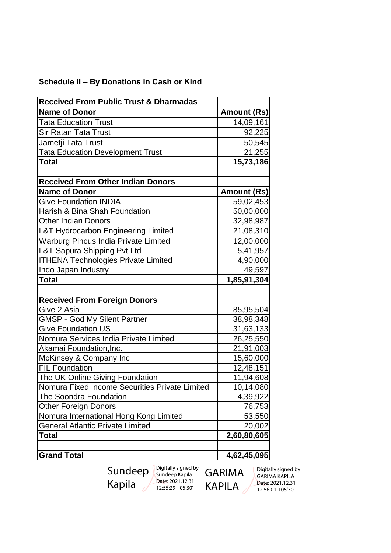| <b>Received From Public Trust &amp; Dharmadas</b> |                    |
|---------------------------------------------------|--------------------|
| <b>Name of Donor</b>                              | <b>Amount (Rs)</b> |
| <b>Tata Education Trust</b>                       | 14,09,161          |
| <b>Sir Ratan Tata Trust</b>                       | 92,225             |
| Jametji Tata Trust                                | 50,545             |
| <b>Tata Education Development Trust</b>           | 21,255             |
| <b>Total</b>                                      | 15,73,186          |
|                                                   |                    |
| <b>Received From Other Indian Donors</b>          |                    |
| <b>Name of Donor</b>                              | <b>Amount (Rs)</b> |
| <b>Give Foundation INDIA</b>                      | 59,02,453          |
| Harish & Bina Shah Foundation                     | 50,00,000          |
| <b>Other Indian Donors</b>                        | 32,98,987          |
| L&T Hydrocarbon Engineering Limited               | 21,08,310          |
| <b>Warburg Pincus India Private Limited</b>       | 12,00,000          |
| L&T Sapura Shipping Pvt Ltd                       | 5,41,957           |
| <b>ITHENA Technologies Private Limited</b>        | 4,90,000           |
| Indo Japan Industry                               | 49,597             |
| <b>Total</b>                                      | 1,85,91,304        |
|                                                   |                    |
| <b>Received From Foreign Donors</b>               |                    |
| Give 2 Asia                                       | 85,95,504          |
| <b>GMSP - God My Silent Partner</b>               | 38,98,348          |
| <b>Give Foundation US</b>                         | 31,63,133          |
| Nomura Services India Private Limited             | 26, 25, 550        |
| Akamai Foundation, Inc.                           | 21,91,003          |
| McKinsey & Company Inc                            | 15,60,000          |
| <b>FIL Foundation</b>                             | 12,48,151          |
| The UK Online Giving Foundation                   | 11,94,608          |
| Nomura Fixed Income Securities Private Limited    | 10,14,080          |
| The Soondra Foundation                            | 4,39,922           |
| <b>Other Foreign Donors</b>                       | 76,753             |
| Nomura International Hong Kong Limited            | 53,550             |
| <b>General Atlantic Private Limited</b>           | 20,002             |
| <b>Total</b>                                      | 2,60,80,605        |
|                                                   |                    |
| <b>Grand Total</b>                                | 4,62,45,095        |

### **Schedule II – By Donations in Cash or Kind**

Sundeep Kapila Digitally signed by Sundeep Kapila Date: 2021.12.31 12:55:29 +05'30'

GARIMA KAPILA

Digitally signed by GARIMA KAPILA Date: 2021.12.31 12:56:01 +05'30'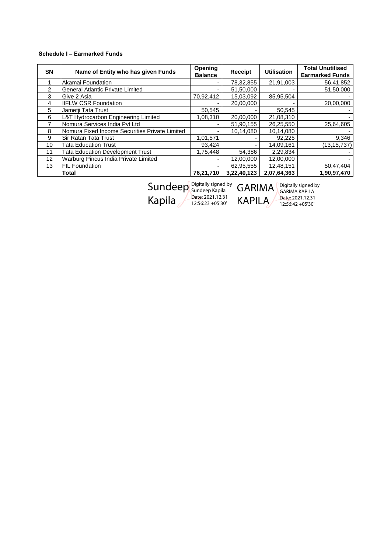#### **Schedule I – Earmarked Funds**

| <b>SN</b>         | Name of Entity who has given Funds             | <b>Opening</b><br><b>Balance</b> | <b>Receipt</b> | <b>Utilisation</b> | <b>Total Unutilised</b><br><b>Earmarked Funds</b> |
|-------------------|------------------------------------------------|----------------------------------|----------------|--------------------|---------------------------------------------------|
|                   | Akamai Foundation                              |                                  | 78,32,855      | 21,91,003          | 56,41,852                                         |
| $\mathcal{P}$     | <b>General Atlantic Private Limited</b>        |                                  | 51,50,000      |                    | 51,50,000                                         |
| 3                 | Give 2 Asia                                    | 70,92,412                        | 15,03,092      | 85,95,504          |                                                   |
| 4                 | <b>IIFLW CSR Foundation</b>                    |                                  | 20,00,000      |                    | 20,00,000                                         |
| 5                 | Jametji Tata Trust                             | 50,545                           |                | 50.545             |                                                   |
| 6                 | L&T Hydrocarbon Engineering Limited            | 1,08,310                         | 20,00,000      | 21,08,310          |                                                   |
|                   | Nomura Services India Pvt Ltd                  |                                  | 51,90,155      | 26,25,550          | 25,64,605                                         |
| 8                 | Nomura Fixed Income Securities Private Limited |                                  | 10,14,080      | 10,14,080          |                                                   |
| 9                 | Sir Ratan Tata Trust                           | 1,01,571                         |                | 92,225             | 9,346                                             |
| 10                | <b>Tata Education Trust</b>                    | 93,424                           |                | 14,09,161          | (13, 15, 737)                                     |
| 11                | <b>Tata Education Development Trust</b>        | 1,75,448                         | 54,386         | 2,29,834           |                                                   |
| $12 \overline{ }$ | Warburg Pincus India Private Limited           |                                  | 12,00,000      | 12,00,000          |                                                   |
| 13                | <b>FIL Foundation</b>                          |                                  | 62,95,555      | 12,48,151          | 50,47,404                                         |
|                   | Total                                          | 76,21,710                        | 3,22,40,123    | 2,07,64,363        | 1,90,97,470                                       |

**Sundeep** Kapila

Digitally signed by Sundeep Kapila Date: 2021.12.31 12:56:23 +05'30' GARIMA **KAPILA** 

Digitally signed by GARIMA KAPILA Date: 2021.12.31 12:56:42 +05'30'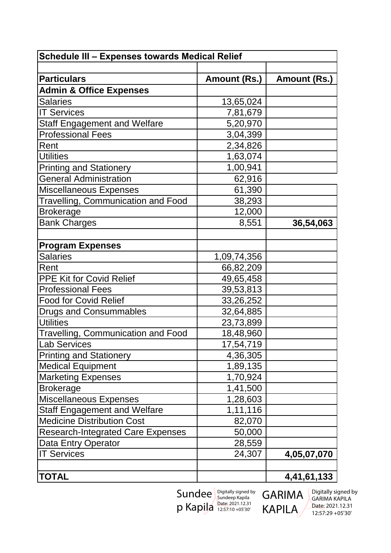| Schedule III - Expenses towards Medical Relief |              |              |  |  |  |
|------------------------------------------------|--------------|--------------|--|--|--|
|                                                |              |              |  |  |  |
| <b>Particulars</b>                             | Amount (Rs.) | Amount (Rs.) |  |  |  |
| <b>Admin &amp; Office Expenses</b>             |              |              |  |  |  |
| <b>Salaries</b>                                | 13,65,024    |              |  |  |  |
| <b>IT Services</b>                             | 7,81,679     |              |  |  |  |
| <b>Staff Engagement and Welfare</b>            | 5,20,970     |              |  |  |  |
| <b>Professional Fees</b>                       | 3,04,399     |              |  |  |  |
| Rent                                           | 2,34,826     |              |  |  |  |
| <b>Utilities</b>                               | 1,63,074     |              |  |  |  |
| Printing and Stationery                        | 1,00,941     |              |  |  |  |
| <b>General Administration</b>                  | 62,916       |              |  |  |  |
| <b>Miscellaneous Expenses</b>                  | 61,390       |              |  |  |  |
| <b>Travelling, Communication and Food</b>      | 38,293       |              |  |  |  |
| <b>Brokerage</b>                               | 12,000       |              |  |  |  |
| <b>Bank Charges</b>                            | 8,551        | 36,54,063    |  |  |  |
|                                                |              |              |  |  |  |
| <b>Program Expenses</b>                        |              |              |  |  |  |
| <b>Salaries</b>                                | 1,09,74,356  |              |  |  |  |
| Rent                                           | 66,82,209    |              |  |  |  |
| PPE Kit for Covid Relief                       | 49,65,458    |              |  |  |  |
| <b>Professional Fees</b>                       | 39,53,813    |              |  |  |  |
| <b>Food for Covid Relief</b>                   | 33,26,252    |              |  |  |  |
| <b>Drugs and Consummables</b>                  | 32,64,885    |              |  |  |  |
| <b>Utilities</b>                               | 23,73,899    |              |  |  |  |
| <b>Travelling, Communication and Food</b>      | 18,48,960    |              |  |  |  |
| <b>Lab Services</b>                            | 17,54,719    |              |  |  |  |
| <b>Printing and Stationery</b>                 | 4,36,305     |              |  |  |  |
| <b>Medical Equipment</b>                       | 1,89,135     |              |  |  |  |
| <b>Marketing Expenses</b>                      | 1,70,924     |              |  |  |  |
| <b>Brokerage</b>                               | 1,41,500     |              |  |  |  |
| <b>Miscellaneous Expenses</b>                  | 1,28,603     |              |  |  |  |
| <b>Staff Engagement and Welfare</b>            | 1,11,116     |              |  |  |  |
| <b>Medicine Distribution Cost</b>              | 82,070       |              |  |  |  |
| <b>Research-Integrated Care Expenses</b>       | 50,000       |              |  |  |  |
| Data Entry Operator                            | 28,559       |              |  |  |  |
| <b>IT Services</b>                             | 24,307       | 4,05,07,070  |  |  |  |
|                                                |              |              |  |  |  |
| <b>TOTAL</b>                                   |              | 4,41,61,133  |  |  |  |

Sundee p Kapila Digitally signed by Sundeep Kapila Date: 2021.12.31 12:57:10 +05'30'

GARIMA KAPILA

Digitally signed by GARIMA KAPILA Date: 2021.12.31 12:57:29 +05'30'